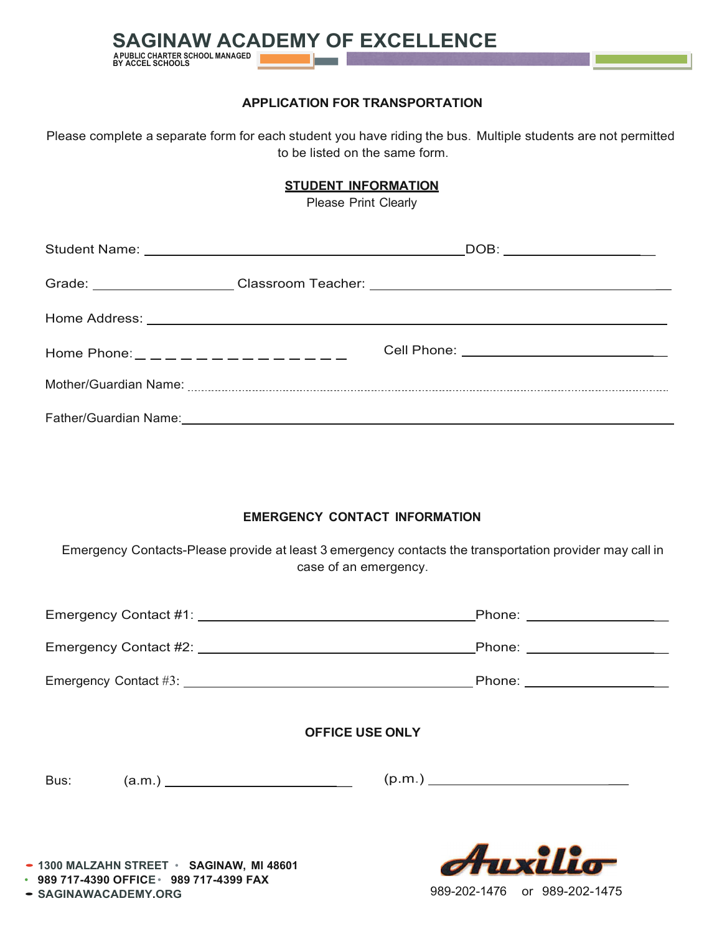

## **APPLICATION FOR TRANSPORTATION**

Please complete a separate form for each student you have riding the bus. Multiple students are not permitted to be listed on the same form.

## **STUDENT INFORMATION**

Please Print Clearly

|                                         |  | _DOB: _______________________                                                    |
|-----------------------------------------|--|----------------------------------------------------------------------------------|
|                                         |  | Grade: _____________________Classroom Teacher: _________________________________ |
|                                         |  |                                                                                  |
| Home Phone: _ _ _ _ _ _ _ _ _ _ _ _ _ _ |  | Cell Phone: _____________________________                                        |
|                                         |  |                                                                                  |
|                                         |  |                                                                                  |

## **EMERGENCY CONTACT INFORMATION**

Emergency Contacts-Please provide at least 3 emergency contacts the transportation provider may call in case of an emergency.

|                                           | Emergency Contact #1: \\common_{\sigma_n}{\sigma_n}{\sigma_n}{\sigma_n}{\sigma_n}{\sigma_n}{\sigma_n}{\sigma_n}{\sigma_n}{\sigma_n}{\sigma_n}{\sigma_n}{\sigma_n}{\sigma_n}{\sigma_n}{\sigma_n}{\sigma_n}{\sigma_n}{\sigma_n}{<br>Phone: _____________________ |  |  |  |
|-------------------------------------------|----------------------------------------------------------------------------------------------------------------------------------------------------------------------------------------------------------------------------------------------------------------|--|--|--|
|                                           | Emergency Contact #2: \\common_\\common_\\common_\\common_\\common_\\common_\\common_\\common_\\common_\\commo<br>Phone: __________________                                                                                                                    |  |  |  |
|                                           |                                                                                                                                                                                                                                                                |  |  |  |
| <b>OFFICE USE ONLY</b>                    |                                                                                                                                                                                                                                                                |  |  |  |
| Bus:                                      | (p.m.)                                                                                                                                                                                                                                                         |  |  |  |
| - 1300 MALZAHN STREET · SAGINAW, MI 48601 | Auxilio                                                                                                                                                                                                                                                        |  |  |  |

989-202-1476 or 989-202-1475

• **989 717-4390 OFFICE**• **989 717-4399 FAX**

• **SAGINAWACADEMY.ORG**